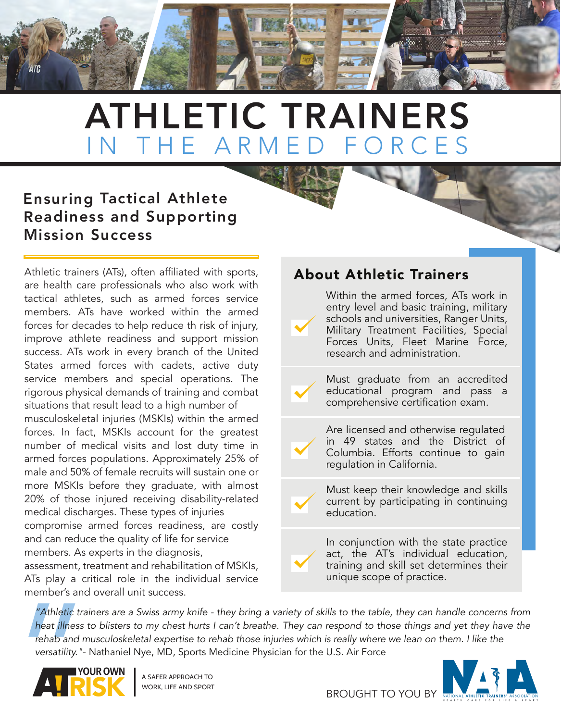

### Ensuring Tactical Athlete Readiness and Supporting Mission Success

Athletic trainers (ATs), often affiliated with sports, are health care professionals who also work with tactical athletes, such as armed forces service members. ATs have worked within the armed forces for decades to help reduce th risk of injury, improve athlete readiness and support mission success. ATs work in every branch of the United States armed forces with cadets, active duty service members and special operations. The rigorous physical demands of training and combat situations that result lead to a high number of

musculoskeletal injuries (MSKIs) within the armed forces. In fact, MSKIs account for the greatest number of medical visits and lost duty time in armed forces populations. Approximately 25% of male and 50% of female recruits will sustain one or more MSKIs before they graduate, with almost 20% of those injured receiving disability-related medical discharges. These types of injuries compromise armed forces readiness, are costly and can reduce the quality of life for service members. As experts in the diagnosis,

assessment, treatment and rehabilitation of MSKIs, ATs play a critical role in the individual service member's and overall unit success.

### About Athletic Trainers

Within the armed forces, ATs work in entry level and basic training, military schools and universities, Ranger Units, Military Treatment Facilities, Special Forces Units, Fleet Marine Force, research and administration.

Must graduate from an accredited educational program and pass a comprehensive certification exam.

Are licensed and otherwise regulated in 49 states and the District of Columbia. Efforts continue to gain regulation in California.

Must keep their knowledge and skills current by participating in continuing education.

In conjunction with the state practice act, the AT's individual education, training and skill set determines their unique scope of practice.

"Athletic tra.<br>
heat illness t<br>
rehab and m<br>
versatility."-*"Athletic trainers are a Swiss army knife - they bring a variety of skills to the table, they can handle concerns from heat illness to blisters to my chest hurts I can't breathe. They can respond to those things and yet they have the rehab and musculoskeletal expertise to rehab those injuries which is really where we lean on them. I like the versatility."*- Nathaniel Nye, MD, Sports Medicine Physician for the U.S. Air Force



A SAFER APPROACH TO WORK, LIFE AND SPORT